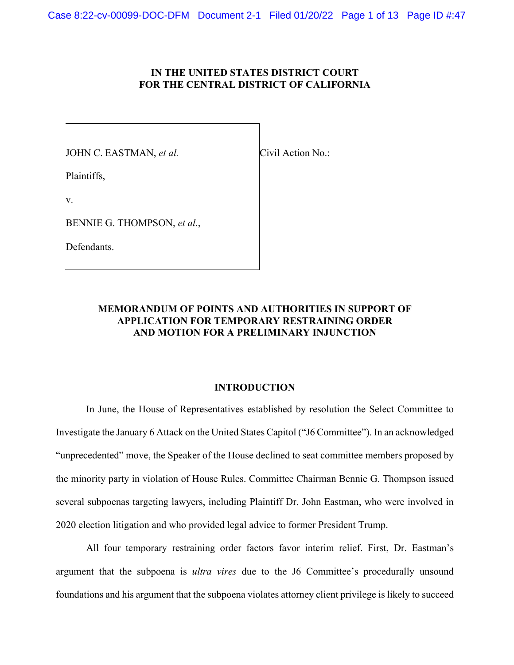# IN THE UNITED STATES DISTRICT COURT  **IN THE UNITED STATES DISTRICT COURT FOR THE CENTRAL DISTRICT OF CALIFORNIA**

JOHN C. EASTMAN, *et al.* Civil Action No.:

Plaintiffs,

v.

BENNIE G. THOMPSON, *et al.*,

Defendants.

# **MEMORANDUM OF POINTS AND AUTHORITIES IN SUPPORT OF APPLICATION FOR TEMPORARY RESTRAINING ORDER AND MOTION FOR A PRELIMINARY INJUNCTION APPLICATION FOR TEMPORARY RESTRAINING ORDER**

# **INTRODUCTION**

 In June, the House of Representatives established by resolution the Select Committee to Investigate the January 6 Attack on the United States Capitol ("J6 Committee"). In an acknowledged "unprecedented" move, the Speaker of the House declined to seat committee members proposed by the minority party in violation of House Rules. Committee Chairman Bennie G. Thompson issued several subpoenas targeting lawyers, including Plaintiff Dr. John Eastman, who were involved in 2020 election litigation and who provided legal advice to former President Trump.

 All four temporary restraining order factors favor interim relief. First, Dr. Eastman's argument that the subpoena is *ultra vires* due to the J6 Committee's procedurally unsound foundations and his argument that the subpoena violates attorney client privilege is likely to succeed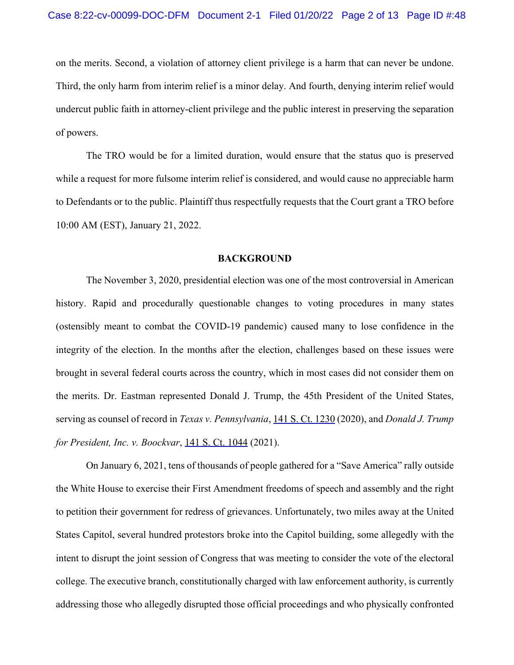on the merits. Second, a violation of attorney client privilege is a harm that can never be undone. Third, the only harm from interim relief is a minor delay. And fourth, denying interim relief would undercut public faith in attorney-client privilege and the public interest in preserving the separation of powers.

 The TRO would be for a limited duration, would ensure that the status quo is preserved while a request for more fulsome interim relief is considered, and would cause no appreciable harm to Defendants or to the public. Plaintiff thus respectfully requests that the Court grant a TRO before 10:00 AM (EST), January 21, 2022.

#### **BACKGROUND**

 The November 3, 2020, presidential election was one of the most controversial in American history. Rapid and procedurally questionable changes to voting procedures in many states (ostensibly meant to combat the COVID-19 pandemic) caused many to lose confidence in the integrity of the election. In the months after the election, challenges based on these issues were brought in several federal courts across the country, which in most cases did not consider them on the merits. Dr. Eastman represented Donald J. Trump, the 45th President of the United States, serving as counsel of record in *Texas v. Pennsylvania*, [141 S. Ct. 1230](https://www.westlaw.com/Link/Document/FullText?rs=USCLink&vr=3.0&findType=Y&cite=141%2Bs.%2Bct.%2B1230&refPos=1230&refPosType=s&clientid=USCourts) (2020), and *Donald J. Trump for President, Inc. v. Boockvar*, [141 S. Ct. 1044](https://www.westlaw.com/Link/Document/FullText?rs=USCLink&vr=3.0&findType=Y&cite=141%2Bs.%2Bct.%2B1044&refPos=1044&refPosType=s&clientid=USCourts) (2021).

 On January 6, 2021, tens of thousands of people gathered for a "Save America" rally outside the White House to exercise their First Amendment freedoms of speech and assembly and the right to petition their government for redress of grievances. Unfortunately, two miles away at the United States Capitol, several hundred protestors broke into the Capitol building, some allegedly with the intent to disrupt the joint session of Congress that was meeting to consider the vote of the electoral college. The executive branch, constitutionally charged with law enforcement authority, is currently addressing those who allegedly disrupted those official proceedings and who physically confronted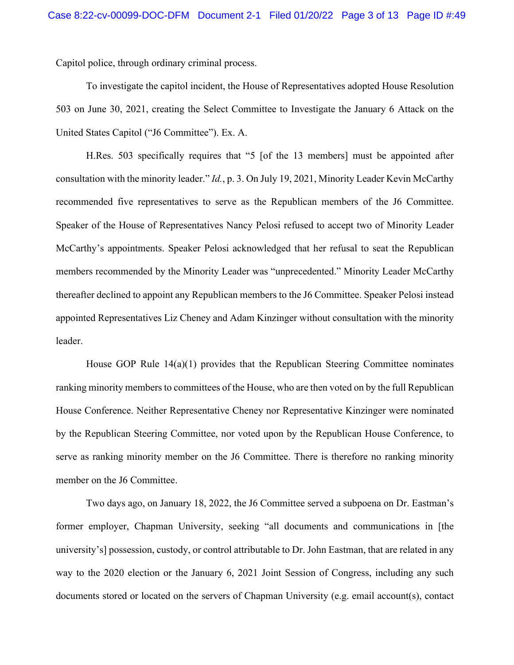Capitol police, through ordinary criminal process.

 Capitol police, through ordinary criminal process. To investigate the capitol incident, the House of Representatives adopted House Resolution 503 on June 30, 2021, creating the Select Committee to Investigate the January 6 Attack on the United States Capitol ("J6 Committee"). Ex. A.

 H.Res. 503 specifically requires that "5 [of the 13 members] must be appointed after consultation with the minority leader." *Id.*, p. 3. On July 19, 2021, Minority Leader Kevin McCarthy recommended five representatives to serve as the Republican members of the J6 Committee. Speaker of the House of Representatives Nancy Pelosi refused to accept two of Minority Leader McCarthy's appointments. Speaker Pelosi acknowledged that her refusal to seat the Republican thereafter declined to appoint any Republican members to the J6 Committee. Speaker Pelosi instead appointed Representatives Liz Cheney and Adam Kinzinger without consultation with the minority members recommended by the Minority Leader was "unprecedented." Minority Leader McCarthy leader.

 House GOP Rule 14(a)(1) provides that the Republican Steering Committee nominates ranking minority members to committees of the House, who are then voted on by the full Republican House Conference. Neither Representative Cheney nor Representative Kinzinger were nominated serve as ranking minority member on the J6 Committee. There is therefore no ranking minority by the Republican Steering Committee, nor voted upon by the Republican House Conference, to member on the J6 Committee.

 Two days ago, on January 18, 2022, the J6 Committee served a subpoena on Dr. Eastman's former employer, Chapman University, seeking "all documents and communications in [the university's] possession, custody, or control attributable to Dr. John Eastman, that are related in any documents stored or located on the servers of Chapman University (e.g. email account(s), contact way to the 2020 election or the January 6, 2021 Joint Session of Congress, including any such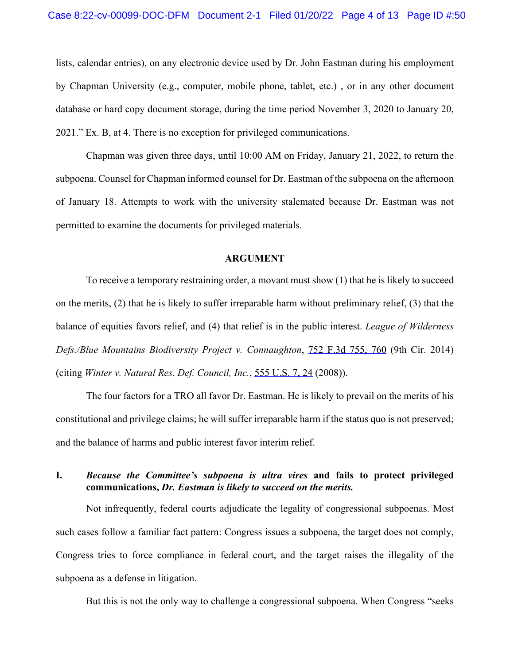lists, calendar entries), on any electronic device used by Dr. John Eastman during his employment database or hard copy document storage, during the time period November 3, 2020 to January 20, 2021." Ex. B, at 4. There is no exception for privileged communications. by Chapman University (e.g., computer, mobile phone, tablet, etc.) , or in any other document

 Chapman was given three days, until 10:00 AM on Friday, January 21, 2022, to return the subpoena. Counsel for Chapman informed counsel for Dr. Eastman of the subpoena on the afternoon of January 18. Attempts to work with the university stalemated because Dr. Eastman was not permitted to examine the documents for privileged materials.

#### **ARGUMENT**

 To receive a temporary restraining order, a movant must show (1) that he is likely to succeed on the merits, (2) that he is likely to suffer irreparable harm without preliminary relief, (3) that the balance of equities favors relief, and (4) that relief is in the public interest. *League of Wilderness Defs./Blue Mountains Biodiversity Project v. Connaughton*, [752 F.3d 755, 760](https://www.westlaw.com/Link/Document/FullText?rs=USCLink&vr=3.0&findType=Y&cite=752%2Bf.3d%2B755&refPos=760&refPosType=s&clientid=USCourts) (9th Cir. 2014) (citing *Winter v. Natural Res. Def. Council, Inc.*, [555 U.S. 7](https://www.westlaw.com/Link/Document/FullText?rs=USCLink&vr=3.0&findType=Y&cite=555%2Bu%2Es%2E%2B7&clientid=USCourts)[, 2](https://www.westlaw.com/Link/Document/FullText?rs=USCLink&vr=3.0&findType=Y&cite=555%2Bu.s.%2B7&refPos=24&refPosType=s&clientid=USCourts)[4](https://www.westlaw.com/Link/Document/FullText?rs=USCLink&vr=3.0&findType=Y&cite=24&clientid=USCourts) (2008)).

 The four factors for a TRO all favor Dr. Eastman. He is likely to prevail on the merits of his constitutional and privilege claims; he will suffer irreparable harm if the status quo is not preserved; and the balance of harms and public interest favor interim relief.

## **I.** *Because the Committee's subpoena is ultra vires* **and fails to protect privileged communications,** *Dr. Eastman is likely to succeed on the merits.*

 Not infrequently, federal courts adjudicate the legality of congressional subpoenas. Most such cases follow a familiar fact pattern: Congress issues a subpoena, the target does not comply, Congress tries to force compliance in federal court, and the target raises the illegality of the subpoena as a defense in litigation.

But this is not the only way to challenge a congressional subpoena. When Congress "seeks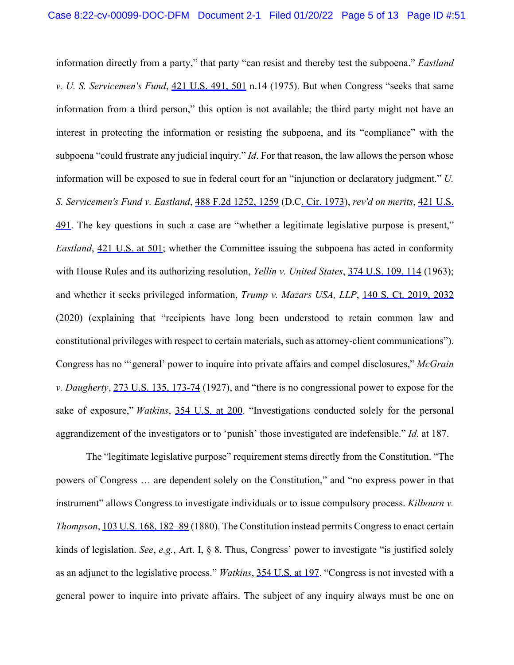information directly from a party," that party "can resist and thereby test the subpoena." *Eastland v. U. S. Servicemen's Fund*, [421 U.S. 49](https://www.westlaw.com/Link/Document/FullText?rs=USCLink&vr=3.0&findType=Y&cite=421%2Bu%2Es%2E%2B491&clientid=USCourts)[1, 5](https://www.westlaw.com/Link/Document/FullText?rs=USCLink&vr=3.0&findType=Y&cite=421%2Bu.s.%2B491&refPos=501&refPosType=s&clientid=USCourts)[01](https://www.westlaw.com/Link/Document/FullText?rs=USCLink&vr=3.0&findType=Y&cite=501&clientid=USCourts) n.14 (1975). But when Congress "seeks that same information from a third person," this option is not available; the third party might not have an interest in protecting the information or resisting the subpoena, and its "compliance" with the subpoena "could frustrate any judicial inquiry." *Id*. For that reason, the law allows the person whose information will be exposed to sue in federal court for an "injunction or declaratory judgment." *U.*  [491.](https://www.westlaw.com/Link/Document/FullText?rs=USCLink&vr=3.0&findType=Y&cite=421%2Bu%2Es%2E%2B%2B491&clientid=USCourts) The key questions in such a case are "whether a legitimate legislative purpose is present," *Eastland*, [421 U.S. at 501;](https://www.westlaw.com/Link/Document/FullText?rs=USCLink&vr=3.0&findType=Y&cite=421%2Bu.s.%2B491&refPos=501&refPosType=s&clientid=USCourts) whether the Committee issuing the subpoena has acted in conformity with House Rules and its authorizing resolution, *Yellin v. United States*, [374 U.S. 10](https://www.westlaw.com/Link/Document/FullText?rs=USCLink&vr=3.0&findType=Y&cite=374%2Bu%2Es%2E%2B109&clientid=USCourts)[9,](https://www.westlaw.com/Link/Document/FullText?rs=USCLink&vr=3.0&findType=Y&cite=374%2Bu.s.%2B109&refPos=114&refPosType=s&clientid=USCourts) [114](https://www.westlaw.com/Link/Document/FullText?rs=USCLink&vr=3.0&findType=Y&cite=114&clientid=USCourts) (1963); and whether it seeks privileged information, *Trump v. Mazars USA, LLP*, [140 S. Ct. 2019, 2032](https://www.westlaw.com/Link/Document/FullText?rs=USCLink&vr=3.0&findType=Y&cite=140%2Bs.%2Bct.%2B2019&refPos=2032&refPosType=s&clientid=USCourts)  (2020) (explaining that "recipients have long been understood to retain common law and constitutional privileges with respect to certain materials, such as attorney-client communications"). Congress has no "'general' power to inquire into private affairs and compel disclosures," *McGrain v. Daugherty*, [273 U.S. 135](https://www.westlaw.com/Link/Document/FullText?rs=USCLink&vr=3.0&findType=Y&cite=273%2Bu%2Es%2E%2B135&clientid=USCourts)[, 1](https://www.westlaw.com/Link/Document/FullText?rs=USCLink&vr=3.0&findType=Y&cite=273%2Bu.s.%2B135&refPos=173&refPosType=s&clientid=USCourts)[73-74](https://www.westlaw.com/Link/Document/FullText?rs=USCLink&vr=3.0&findType=Y&cite=173-74&clientid=USCourts) (1927), and "there is no congressional power to expose for the sake of exposure," *Watkins*, [354 U.S. at 200.](https://www.westlaw.com/Link/Document/FullText?rs=USCLink&vr=3.0&findType=Y&cite=354%2Bu.s.%2B200&refPosType=s&clientid=USCourts) "Investigations conducted solely for the personal aggrandizement of the investigators or to 'punish' those investigated are indefensible." *Id.* at 187. *S. Servicemen's Fund v. Eastland*, [488 F.2d 1252, 1259](https://www.westlaw.com/Link/Document/FullText?rs=USCLink&vr=3.0&findType=Y&cite=488%2Bf.2d%2B1252&refPos=1259&refPosType=s&clientid=USCourts) (D.C[. Cir. 1973](https://www.westlaw.com/Link/Document/FullText?rs=USCLink&vr=3.0&findType=Y&cite=utah%2Brules%2Bof%2Bcivil%2Bprocedure%2C%2Brule%2B%2B1973&clientid=USCourts)), *rev'd on merits*, [421 U.S.](https://www.westlaw.com/Link/Document/FullText?rs=USCLink&vr=3.0&findType=Y&cite=421%2Bu%2Es%2E%2B%2B491&clientid=USCourts) 

 The "legitimate legislative purpose" requirement stems directly from the Constitution. "The powers of Congress … are dependent solely on the Constitution," and "no express power in that instrument" allows Congress to investigate individuals or to issue compulsory process. *Kilbourn v. Thompson*, [103 U.S. 168](https://www.westlaw.com/Link/Document/FullText?rs=USCLink&vr=3.0&findType=Y&cite=103%2Bu%2Es%2E%2B168&clientid=USCourts)[,](https://www.westlaw.com/Link/Document/FullText?rs=USCLink&vr=3.0&findType=Y&cite=103%2Bu.s.%2B168&refPos=182&refPosType=s&clientid=USCourts) [182–89](https://www.westlaw.com/Link/Document/FullText?rs=USCLink&vr=3.0&findType=Y&cite=182%EF%BF%BD%EF%BF%BD%EF%BF%BD89&clientid=USCourts) (1880). The Constitution instead permits Congress to enact certain kinds of legislation. *See*, *e.g.*, Art. I, § 8. Thus, Congress' power to investigate "is justified solely as an adjunct to the legislative process." *Watkins*, [354 U.S. at 197](https://www.westlaw.com/Link/Document/FullText?rs=USCLink&vr=3.0&findType=Y&cite=354%2Bu.s.%2B197&refPosType=s&clientid=USCourts). "Congress is not invested with a general power to inquire into private affairs. The subject of any inquiry always must be one on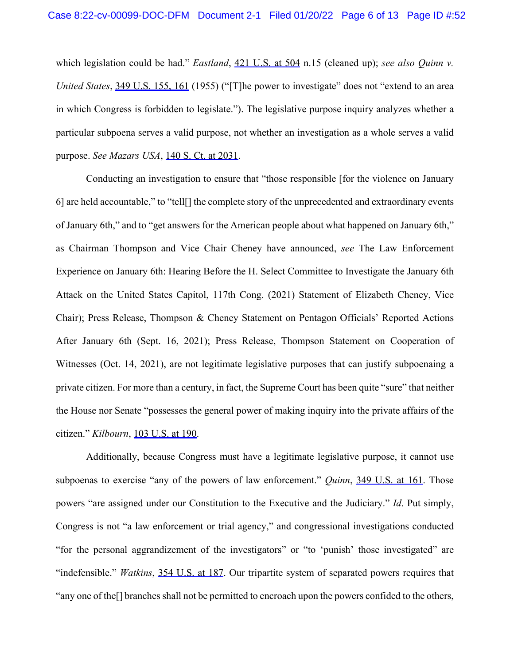which legislation could be had." *Eastland*, [421 U.S. at 504](https://www.westlaw.com/Link/Document/FullText?rs=USCLink&vr=3.0&findType=Y&cite=421%2Bu.s.%2B491&refPos=504&refPosType=s&clientid=USCourts) n.15 (cleaned up); *see also Quinn v. United States*, [349 U.S. 15](https://www.westlaw.com/Link/Document/FullText?rs=USCLink&vr=3.0&findType=Y&cite=349%2Bu%2Es%2E%2B155&clientid=USCourts)[5,](https://www.westlaw.com/Link/Document/FullText?rs=USCLink&vr=3.0&findType=Y&cite=349%2Bu.s.%2B155&refPos=161&refPosType=s&clientid=USCourts) [161](https://www.westlaw.com/Link/Document/FullText?rs=USCLink&vr=3.0&findType=Y&cite=161&clientid=USCourts) (1955) ("[T]he power to investigate" does not "extend to an area in which Congress is forbidden to legislate."). The legislative purpose inquiry analyzes whether a particular subpoena serves a valid purpose, not whether an investigation as a whole serves a valid purpose. *See Mazars USA*, [140 S. Ct. at 2031.](https://www.westlaw.com/Link/Document/FullText?rs=USCLink&vr=3.0&findType=Y&cite=140%2Bs.%2Bct.%2B2019&refPos=2031&refPosType=s&clientid=USCourts)

 Conducting an investigation to ensure that "those responsible [for the violence on January 6] are held accountable," to "tell[] the complete story of the unprecedented and extraordinary events of January 6th," and to "get answers for the American people about what happened on January 6th," as Chairman Thompson and Vice Chair Cheney have announced, *see* The Law Enforcement Experience on January 6th: Hearing Before the H. Select Committee to Investigate the January 6th Chair); Press Release, Thompson & Cheney Statement on Pentagon Officials' Reported Actions After January 6th (Sept. 16, 2021); Press Release, Thompson Statement on Cooperation of Witnesses (Oct. 14, 2021), are not legitimate legislative purposes that can justify subpoenaing a private citizen. For more than a century, in fact, the Supreme Court has been quite "sure" that neither the House nor Senate "possesses the general power of making inquiry into the private affairs of the Attack on the United States Capitol, 117th Cong. (2021) Statement of Elizabeth Cheney, Vice citizen." *Kilbourn*, [103 U.S. at 190](https://www.westlaw.com/Link/Document/FullText?rs=USCLink&vr=3.0&findType=Y&cite=103%2Bu.s.%2B168&refPos=190&refPosType=s&clientid=USCourts).

 Additionally, because Congress must have a legitimate legislative purpose, it cannot use subpoenas to exercise "any of the powers of law enforcement." *Quinn*, [349 U.S. at 161.](https://www.westlaw.com/Link/Document/FullText?rs=USCLink&vr=3.0&findType=Y&cite=349%2Bu.s.%2B155&refPos=161&refPosType=s&clientid=USCourts) Those powers "are assigned under our Constitution to the Executive and the Judiciary." *Id*. Put simply, Congress is not "a law enforcement or trial agency," and congressional investigations conducted "for the personal aggrandizement of the investigators" or "to 'punish' those investigated" are "indefensible." *Watkins*, [354 U.S. at 187](https://www.westlaw.com/Link/Document/FullText?rs=USCLink&vr=3.0&findType=Y&cite=354%2Bu.s.%2B187&refPosType=s&clientid=USCourts). Our tripartite system of separated powers requires that "any one of the[] branches shall not be permitted to encroach upon the powers confided to the others,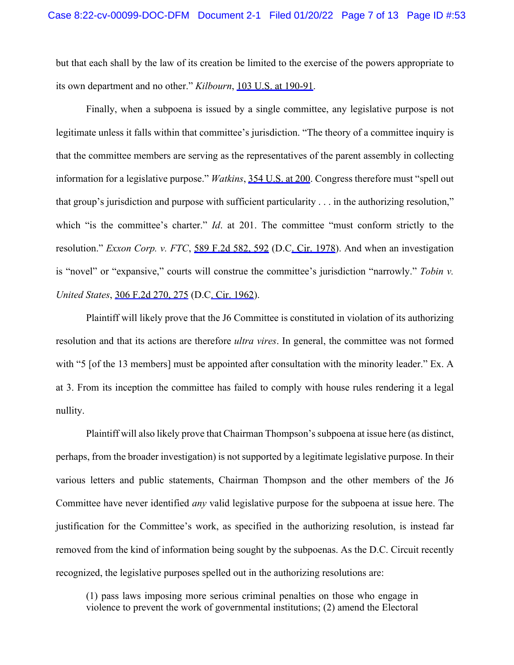but that each shall by the law of its creation be limited to the exercise of the powers appropriate to its own department and no other." *Kilbourn*, [103 U.S. at 190-91](https://www.westlaw.com/Link/Document/FullText?rs=USCLink&vr=3.0&findType=Y&cite=103%2Bu.s.%2B168&refPos=190&refPosType=s&clientid=USCourts).

 Finally, when a subpoena is issued by a single committee, any legislative purpose is not legitimate unless it falls within that committee's jurisdiction. "The theory of a committee inquiry is that the committee members are serving as the representatives of the parent assembly in collecting information for a legislative purpose." *Watkins*, [354 U.S. at 200.](https://www.westlaw.com/Link/Document/FullText?rs=USCLink&vr=3.0&findType=Y&cite=354%2Bu.s.%2B200&refPosType=s&clientid=USCourts) Congress therefore must "spell out that group's jurisdiction and purpose with sufficient particularity . . . in the authorizing resolution," which "is the committee's charter." *Id*. at 201. The committee "must conform strictly to the is "novel" or "expansive," courts will construe the committee's jurisdiction "narrowly." *Tobin v.*  resolution." *Exxon Corp. v. FTC*, [589 F.2d 582, 592](https://www.westlaw.com/Link/Document/FullText?rs=USCLink&vr=3.0&findType=Y&cite=589%2Bf.2d%2B582&refPos=592&refPosType=s&clientid=USCourts) (D.C[. Cir. 1978\)](https://www.westlaw.com/Link/Document/FullText?rs=USCLink&vr=3.0&findType=Y&cite=utah%2Brules%2Bof%2Bcivil%2Bprocedure%2C%2Brule%2B%2B1978&clientid=USCourts). And when an investigation *United States*, [306 F.2d 270, 275](https://www.westlaw.com/Link/Document/FullText?rs=USCLink&vr=3.0&findType=Y&cite=306%2Bf.2d%2B270&refPos=275&refPosType=s&clientid=USCourts) (D.[C. Cir. 1962\)](https://www.westlaw.com/Link/Document/FullText?rs=USCLink&vr=3.0&findType=Y&cite=utah%2Brules%2Bof%2Bcivil%2Bprocedure%2C%2Brule%2B%2B1962&clientid=USCourts).

 Plaintiff will likely prove that the J6 Committee is constituted in violation of its authorizing resolution and that its actions are therefore *ultra vires*. In general, the committee was not formed with "5 [of the 13 members] must be appointed after consultation with the minority leader." Ex. A at 3. From its inception the committee has failed to comply with house rules rendering it a legal nullity. nullity. Plaintiff will also likely prove that Chairman Thompson's subpoena at issue here (as distinct,

 perhaps, from the broader investigation) is not supported by a legitimate legislative purpose. In their various letters and public statements, Chairman Thompson and the other members of the J6 Committee have never identified *any* valid legislative purpose for the subpoena at issue here. The justification for the Committee's work, as specified in the authorizing resolution, is instead far removed from the kind of information being sought by the subpoenas. As the D.C. Circuit recently recognized, the legislative purposes spelled out in the authorizing resolutions are: recognized, the legislative purposes spelled out in the authorizing resolutions are: (1) pass laws imposing more serious criminal penalties on those who engage in

violence to prevent the work of governmental institutions; (2) amend the Electoral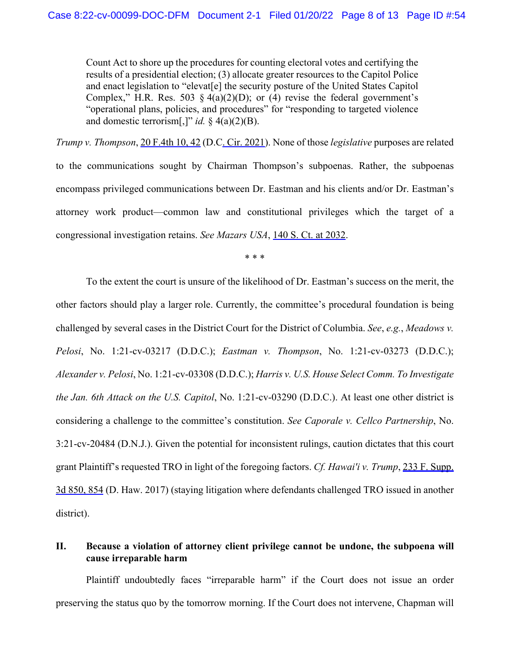Count Act to shore up the procedures for counting electoral votes and certifying the results of a presidential election; (3) allocate greater resources to the Capitol Police and enact legislation to "elevat[e] the security posture of the United States Capitol Complex," H.R. Res. 503 § 4(a)(2)(D); or (4) revise the federal government's and domestic terrorism[,]" *id.* § 4(a)(2)(B). "operational plans, policies, and procedures" for "responding to targeted violence

 *Trump v. Thompson*, [20 F.4th 10, 42](https://www.westlaw.com/Link/Document/FullText?rs=USCLink&vr=3.0&findType=Y&cite=20%2B%2Bf.4th%2B%2B10&refPos=42&refPosType=s&clientid=USCourts) (D.[C. Cir. 2021\)](https://www.westlaw.com/Link/Document/FullText?rs=USCLink&vr=3.0&findType=Y&cite=utah%2Brules%2Bof%2Bcivil%2Bprocedure%2C%2Brule%2B%2B%2B2021&clientid=USCourts). None of those *legislative* purposes are related to the communications sought by Chairman Thompson's subpoenas. Rather, the subpoenas encompass privileged communications between Dr. Eastman and his clients and/or Dr. Eastman's attorney work product—common law and constitutional privileges which the target of a congressional investigation retains. *See Mazars USA*, [140 S. Ct. at 2032.](https://www.westlaw.com/Link/Document/FullText?rs=USCLink&vr=3.0&findType=Y&cite=140%2Bs.%2Bct.%2B2019&refPos=2032&refPosType=s&clientid=USCourts)

\* \* \*

 To the extent the court is unsure of the likelihood of Dr. Eastman's success on the merit, the other factors should play a larger role. Currently, the committee's procedural foundation is being challenged by several cases in the District Court for the District of Columbia. *See*, *e.g.*, *Meadows v. Pelosi*, No. 1:21-cv-03217 (D.D.C.); *Eastman v. Thompson*, No. 1:21-cv-03273 (D.D.C.);  *Alexander v. Pelosi*, No. 1:21-cv-03308 (D.D.C.); *Harris v. U.S. House Select Comm. To Investigate the Jan. 6th Attack on the U.S. Capitol*, No. 1:21-cv-03290 (D.D.C.). At least one other district is considering a challenge to the committee's constitution. *See Caporale v. Cellco Partnership*, No. 3:21-cv-20484 (D.N.J.). Given the potential for inconsistent rulings, caution dictates that this court grant Plaintiff's requested TRO in light of the foregoing factors. *Cf. Hawai'i v. Trump*, [233 F. Supp.](https://www.westlaw.com/Link/Document/FullText?rs=USCLink&vr=3.0&findType=Y&cite=233%2Bf.%2Bsupp.%2B%2B3d%2B850&refPos=854&refPosType=s&clientid=USCourts)  [3d 850, 854](https://www.westlaw.com/Link/Document/FullText?rs=USCLink&vr=3.0&findType=Y&cite=233%2Bf.%2Bsupp.%2B%2B3d%2B850&refPos=854&refPosType=s&clientid=USCourts) (D. Haw. 2017) (staying litigation where defendants challenged TRO issued in another district).

## II. Because a violation of attorney client privilege cannot be undone, the subpoena will **cause irreparable harm**

 Plaintiff undoubtedly faces "irreparable harm" if the Court does not issue an order preserving the status quo by the tomorrow morning. If the Court does not intervene, Chapman will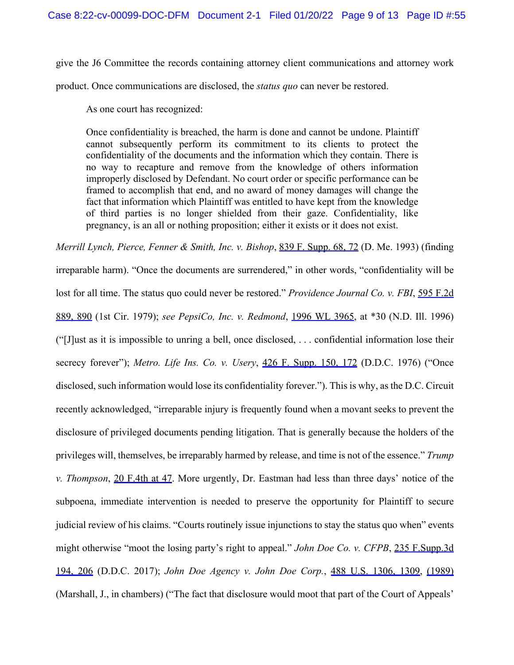give the J6 Committee the records containing attorney client communications and attorney work

product. Once communications are disclosed, the *status quo* can never be restored.

As one court has recognized:

 Once confidentiality is breached, the harm is done and cannot be undone. Plaintiff cannot subsequently perform its commitment to its clients to protect the confidentiality of the documents and the information which they contain. There is no way to recapture and remove from the knowledge of others information improperly disclosed by Defendant. No court order or specific performance can be framed to accomplish that end, and no award of money damages will change the fact that information which Plaintiff was entitled to have kept from the knowledge of third parties is no longer shielded from their gaze. Confidentiality, like pregnancy, is an all or nothing proposition; either it exists or it does not exist.

 *Merrill Lynch, Pierce, Fenner & Smith, Inc. v. Bishop*, [839 F. Supp. 68, 72](https://www.westlaw.com/Link/Document/FullText?rs=USCLink&vr=3.0&findType=Y&cite=839%2B%2Bf.%2B%2Bsupp.%2B%2B68&refPos=72&refPosType=s&clientid=USCourts) (D. Me. 1993) (finding irreparable harm). "Once the documents are surrendered," in other words, "confidentiality will be lost for all time. The status quo could never be restored." *Providence Journal Co. v. FBI*, [595 F.2d](https://www.westlaw.com/Link/Document/FullText?rs=USCLink&vr=3.0&findType=Y&cite=595%2Bf.2d%2B%2B889&refPos=890&refPosType=s&clientid=USCourts)  [889, 890](https://www.westlaw.com/Link/Document/FullText?rs=USCLink&vr=3.0&findType=Y&cite=595%2Bf.2d%2B%2B889&refPos=890&refPosType=s&clientid=USCourts) (1st Cir. 1979); *see PepsiCo, Inc. v. Redmond*, [1996 WL 3965](https://www.westlaw.com/Link/Document/FullText?rs=USCLink&vr=3.0&findType=Y&cite=1996%2Bwl%2B3965&refPos=3965&refPosType=s&clientid=USCourts), at \*30 (N.D. Ill. 1996) ("[J]ust as it is impossible to unring a bell, once disclosed, . . . confidential information lose their disclosed, such information would lose its confidentiality forever."). This is why, as the D.C. Circuit recently acknowledged, "irreparable injury is frequently found when a movant seeks to prevent the disclosure of privileged documents pending litigation. That is generally because the holders of the privileges will, themselves, be irreparably harmed by release, and time is not of the essence." *Trump v. Thompson*, [20 F.4th at 47](https://www.westlaw.com/Link/Document/FullText?rs=USCLink&vr=3.0&findType=Y&cite=20%2Bf.4th%2B10&refPos=47&refPosType=s&clientid=USCourts). More urgently, Dr. Eastman had less than three days' notice of the subpoena, immediate intervention is needed to preserve the opportunity for Plaintiff to secure judicial review of his claims. "Courts routinely issue injunctions to stay the status quo when" events might otherwise "moot the losing party's right to appeal." *John Doe Co. v. CFPB*, [235 F.Supp.3d](https://www.westlaw.com/Link/Document/FullText?rs=USCLink&vr=3.0&findType=Y&cite=235%2Bf.supp.3d%2B%2B194&refPos=206&refPosType=s&clientid=USCourts)   [194, 206](https://www.westlaw.com/Link/Document/FullText?rs=USCLink&vr=3.0&findType=Y&cite=235%2Bf.supp.3d%2B%2B194&refPos=206&refPosType=s&clientid=USCourts) (D.D.C. 2017); *John Doe Agency v. John Doe Corp.*, [488 U.S. 130](https://www.westlaw.com/Link/Document/FullText?rs=USCLink&vr=3.0&findType=Y&cite=488%2Bu%2Es%2E%2B1306&clientid=USCourts)[6,](https://www.westlaw.com/Link/Document/FullText?rs=USCLink&vr=3.0&findType=Y&cite=488%2Bu.s.%2B1306&refPos=1309&refPosType=s&clientid=USCourts) [1309](https://www.westlaw.com/Link/Document/FullText?rs=USCLink&vr=3.0&findType=Y&cite=1309&clientid=USCourts), [\(1989\)](https://www.westlaw.com/Link/Document/FullText?rs=USCLink&vr=3.0&findType=Y&cite=%281989%29&clientid=USCourts)  (Marshall, J., in chambers) ("The fact that disclosure would moot that part of the Court of Appeals' secrecy forever"); *Metro. Life Ins. Co. v. Usery*, [426 F. Supp. 150, 172](https://www.westlaw.com/Link/Document/FullText?rs=USCLink&vr=3.0&findType=Y&cite=426%2Bf.%2Bsupp.%2B150&refPos=172&refPosType=s&clientid=USCourts) (D.D.C. 1976) ("Once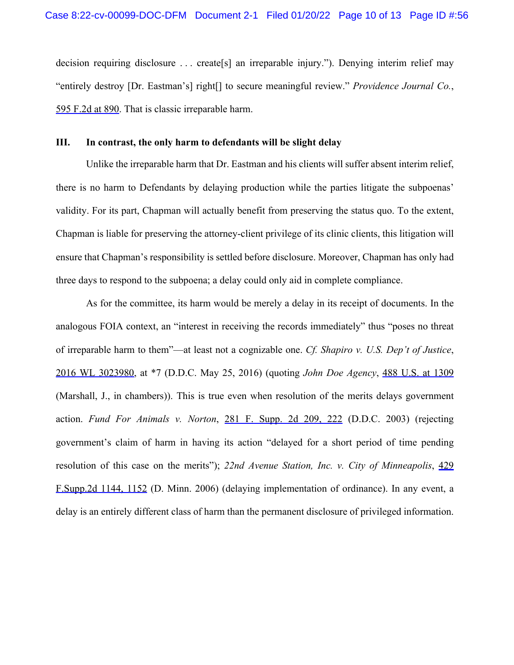decision requiring disclosure . . . create[s] an irreparable injury."). Denying interim relief may "entirely destroy [Dr. Eastman's] right[] to secure meaningful review." *Providence Journal Co.*, [595 F.2d at 890.](https://www.westlaw.com/Link/Document/FullText?rs=USCLink&vr=3.0&findType=Y&cite=595%2Bf.2d%2B889&refPos=890&refPosType=s&clientid=USCourts) That is classic irreparable harm.

#### **III. In contrast, the only harm to defendants will be slight delay**

 Unlike the irreparable harm that Dr. Eastman and his clients will suffer absent interim relief, there is no harm to Defendants by delaying production while the parties litigate the subpoenas' validity. For its part, Chapman will actually benefit from preserving the status quo. To the extent, Chapman is liable for preserving the attorney-client privilege of its clinic clients, this litigation will ensure that Chapman's responsibility is settled before disclosure. Moreover, Chapman has only had three days to respond to the subpoena; a delay could only aid in complete compliance.

 As for the committee, its harm would be merely a delay in its receipt of documents. In the analogous FOIA context, an "interest in receiving the records immediately" thus "poses no threat of irreparable harm to them"—at least not a cognizable one. *Cf. Shapiro v. U.S. Dep't of Justice*, [2016 WL 3023980,](https://www.westlaw.com/Link/Document/FullText?rs=USCLink&vr=3.0&findType=Y&cite=2016%2Bwl%2B3023980&refPos=3023980&refPosType=s&clientid=USCourts) at \*7 (D.D.C. May 25, 2016) (quoting *John Doe Agency*, [488 U.S. at 1309](https://www.westlaw.com/Link/Document/FullText?rs=USCLink&vr=3.0&findType=Y&cite=488%2Bu.s.%2B1306&refPos=1309&refPosType=s&clientid=USCourts)  (Marshall, J., in chambers)). This is true even when resolution of the merits delays government  action. *Fund For Animals v. Norton*, [281 F. Supp. 2d 209, 222](https://www.westlaw.com/Link/Document/FullText?rs=USCLink&vr=3.0&findType=Y&cite=281%2Bf.%2Bsupp.%2B2d%2B209&refPos=222&refPosType=s&clientid=USCourts) (D.D.C. 2003) (rejecting government's claim of harm in having its action "delayed for a short period of time pending resolution of this case on the merits"); *22nd Avenue Station, Inc. v. City of Minneapolis*, [429](https://www.westlaw.com/Link/Document/FullText?rs=USCLink&vr=3.0&findType=Y&cite=429%2B%2Bf.supp.2d%2B1144&refPos=1152&refPosType=s&clientid=USCourts)  delay is an entirely different class of harm than the permanent disclosure of privileged information. [F.Supp.2d 1144, 1152](https://www.westlaw.com/Link/Document/FullText?rs=USCLink&vr=3.0&findType=Y&cite=429%2B%2Bf.supp.2d%2B1144&refPos=1152&refPosType=s&clientid=USCourts) (D. Minn. 2006) (delaying implementation of ordinance). In any event, a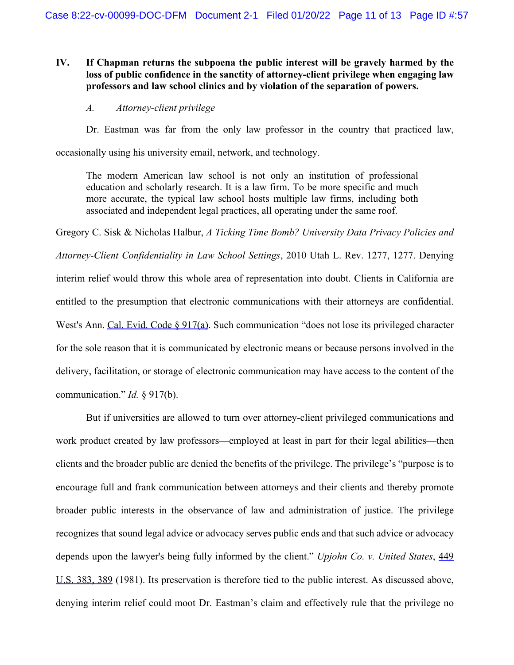# IV. If Chapman returns the subpoena the public interest will be gravely harmed by the loss of public confidence in the sanctity of attorney-client privilege when engaging law **professors and law school clinics and by violation of the separation of powers.**

### *A. Attorney-client privilege*

Dr. Eastman was far from the only law professor in the country that practiced law,

occasionally using his university email, network, and technology.

 The modern American law school is not only an institution of professional education and scholarly research. It is a law firm. To be more specific and much more accurate, the typical law school hosts multiple law firms, including both associated and independent legal practices, all operating under the same roof.

 Gregory C. Sisk & Nicholas Halbur, *A Ticking Time Bomb? University Data Privacy Policies and*  interim relief would throw this whole area of representation into doubt. Clients in California are entitled to the presumption that electronic communications with their attorneys are confidential. West's Ann. [Cal. Evid. Code § 917\(a\)](https://www.westlaw.com/Link/Document/FullText?rs=USCLink&vr=3.0&findType=Y&cite=ca%2Bevid%2Bs%2B917&clientid=USCourts). Such communication "does not lose its privileged character for the sole reason that it is communicated by electronic means or because persons involved in the delivery, facilitation, or storage of electronic communication may have access to the content of the communication." *Id.* § 917(b). *Attorney-Client Confidentiality in Law School Settings*, 2010 Utah L. Rev. 1277, 1277. Denying

 But if universities are allowed to turn over attorney-client privileged communications and work product created by law professors—employed at least in part for their legal abilities—then clients and the broader public are denied the benefits of the privilege. The privilege's "purpose is to encourage full and frank communication between attorneys and their clients and thereby promote broader public interests in the observance of law and administration of justice. The privilege recognizes that sound legal advice or advocacy serves public ends and that such advice or advocacy depends upon the lawyer's being fully informed by the client." *Upjohn Co. v. United States*, [449](https://www.westlaw.com/Link/Document/FullText?rs=USCLink&vr=3.0&findType=Y&cite=449%2B%2Bu%2Es%2E%2B383&clientid=USCourts)  [U.S. 383](https://www.westlaw.com/Link/Document/FullText?rs=USCLink&vr=3.0&findType=Y&cite=449%2B%2Bu%2Es%2E%2B383&clientid=USCourts)[,](https://www.westlaw.com/Link/Document/FullText?rs=USCLink&vr=3.0&findType=Y&cite=449%2B%2Bu.s.%2B383&refPos=389&refPosType=s&clientid=USCourts) [389](https://www.westlaw.com/Link/Document/FullText?rs=USCLink&vr=3.0&findType=Y&cite=389&clientid=USCourts) (1981). Its preservation is therefore tied to the public interest. As discussed above, denying interim relief could moot Dr. Eastman's claim and effectively rule that the privilege no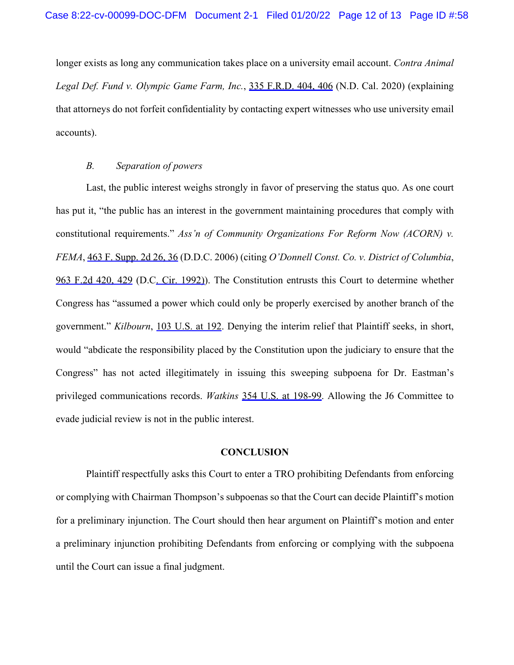longer exists as long any communication takes place on a university email account. *Contra Animal Legal Def. Fund v. Olympic Game Farm, Inc.*, [335 F.R.D. 404, 406](https://www.westlaw.com/Link/Document/FullText?rs=USCLink&vr=3.0&findType=Y&cite=335%2Bf.r.d.%2B404&refPos=406&refPosType=s&clientid=USCourts) (N.D. Cal. 2020) (explaining that attorneys do not forfeit confidentiality by contacting expert witnesses who use university email accounts).

### *B. Separation of powers*

 Last, the public interest weighs strongly in favor of preserving the status quo. As one court has put it, "the public has an interest in the government maintaining procedures that comply with  constitutional requirements." *Ass'n of Community Organizations For Reform Now (ACORN) v. FEMA*, [463 F. Supp. 2d 26, 36](https://www.westlaw.com/Link/Document/FullText?rs=USCLink&vr=3.0&findType=Y&cite=463%2Bf.%2Bsupp.%2B2d%2B26&refPos=36&refPosType=s&clientid=USCourts) (D.D.C. 2006) (citing *O'Donnell Const. Co. v. District of Columbia*, [963 F.2d 420, 429](https://www.westlaw.com/Link/Document/FullText?rs=USCLink&vr=3.0&findType=Y&cite=963%2Bf.2d%2B420&refPos=429&refPosType=s&clientid=USCourts) (D.C. Cir. 1992). The Constitution entrusts this Court to determine whether Congress has "assumed a power which could only be properly exercised by another branch of the government." *Kilbourn*, [103 U.S. at 192](https://www.westlaw.com/Link/Document/FullText?rs=USCLink&vr=3.0&findType=Y&cite=103%2Bu.s.%2B168&refPos=192&refPosType=s&clientid=USCourts). Denying the interim relief that Plaintiff seeks, in short, would "abdicate the responsibility placed by the Constitution upon the judiciary to ensure that the Congress" has not acted illegitimately in issuing this sweeping subpoena for Dr. Eastman's privileged communications records. *Watkins* [354 U.S. at 198-99](https://www.westlaw.com/Link/Document/FullText?rs=USCLink&vr=3.0&findType=Y&cite=354%2Bu.s.%2B198&refPosType=s&clientid=USCourts). Allowing the J6 Committee to evade judicial review is not in the public interest.

#### **CONCLUSION**

 Plaintiff respectfully asks this Court to enter a TRO prohibiting Defendants from enforcing or complying with Chairman Thompson's subpoenas so that the Court can decide Plaintiff's motion for a preliminary injunction. The Court should then hear argument on Plaintiff's motion and enter a preliminary injunction prohibiting Defendants from enforcing or complying with the subpoena until the Court can issue a final judgment.